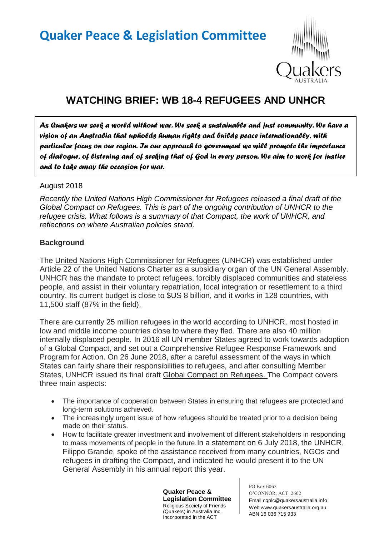# **Quaker Peace & Legislation Committee**



# **WATCHING BRIEF: WB 18-4 REFUGEES AND UNHCR**

*As Quakers we seek a world without war. We seek a sustainable and just community. We have a vision of an Australia that upholds human rights and builds peace internationally, with particular focus on our region. In our approach to government we will promote the importance of dialogue, of listening and of seeking that of God in every person. We aim to work for justice and to take away the occasion for war.* 

#### August 2018

*Recently the United Nations High Commissioner for Refugees released a final draft of the Global Compact on Refugees. This is part of the ongoing contribution of UNHCR to the refugee crisis. What follows is a summary of that Compact, the work of UNHCR, and reflections on where Australian policies stand.*

#### **Background**

The United Nations High Commissioner for Refugees (UNHCR) was established under Article 22 of the United Nations Charter as a subsidiary organ of the UN General Assembly. UNHCR has the mandate to protect refugees, forcibly displaced communities and stateless people, and assist in their voluntary repatriation, local integration or resettlement to a third country. Its current budget is close to \$US 8 billion, and it works in 128 countries, with 11,500 staff (87% in the field).

There are currently 25 million refugees in the world according to UNHCR, most hosted in low and middle income countries close to where they fled. There are also 40 million internally displaced people. In 2016 all UN member States agreed to work towards adoption of a Global Compact, and set out a Comprehensive Refugee Response Framework and Program for Action. On 26 June 2018, after a careful assessment of the ways in which States can fairly share their responsibilities to refugees, and after consulting Member States, UNHCR issued its final draft Global Compact on Refugees. The Compact covers three main aspects:

- The importance of cooperation between States in ensuring that refugees are protected and long-term solutions achieved.
- The increasingly urgent issue of how refugees should be treated prior to a decision being made on their status.
- How to facilitate greater investment and involvement of different stakeholders in responding to mass movements of people in the future.In a statement on 6 July 2018, the UNHCR, Filippo Grande, spoke of the assistance received from many countries, NGOs and refugees in drafting the Compact, and indicated he would present it to the UN General Assembly in his annual report this year.

**Quaker Peace & Legislation Committee** Religious Society of Friends (Quakers) in Australia Inc. Incorporated in the ACT

PO Box 6063 O'CONNOR, ACT 2602 Email cqplc@quakersaustralia.info Web www.quakersaustralia.org.au ABN 16 036 715 933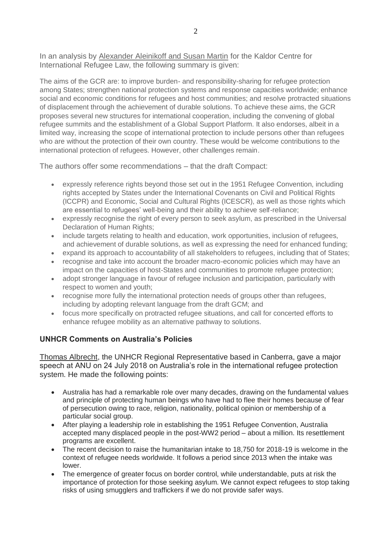In an analysis by Alexander Aleinikoff and Susan Martin for the Kaldor Centre for International Refugee Law, the following summary is given:

The aims of the GCR are: to improve burden- and responsibility-sharing for refugee protection among States; strengthen national protection systems and response capacities worldwide; enhance social and economic conditions for refugees and host communities; and resolve protracted situations of displacement through the achievement of durable solutions. To achieve these aims, the GCR proposes several new structures for international cooperation, including the convening of global refugee summits and the establishment of a Global Support Platform. It also endorses, albeit in a limited way, increasing the scope of international protection to include persons other than refugees who are without the protection of their own country. These would be welcome contributions to the international protection of refugees. However, other challenges remain.

The authors offer some recommendations – that the draft Compact:

- expressly reference rights beyond those set out in the 1951 Refugee Convention, including rights accepted by States under the International Covenants on Civil and Political Rights (ICCPR) and Economic, Social and Cultural Rights (ICESCR), as well as those rights which are essential to refugees' well-being and their ability to achieve self-reliance;
- expressly recognise the right of every person to seek asylum, as prescribed in the Universal Declaration of Human Rights:
- include targets relating to health and education, work opportunities, inclusion of refugees, and achievement of durable solutions, as well as expressing the need for enhanced funding;
- expand its approach to accountability of all stakeholders to refugees, including that of States;
- recognise and take into account the broader macro-economic policies which may have an impact on the capacities of host-States and communities to promote refugee protection;
- adopt stronger language in favour of refugee inclusion and participation, particularly with respect to women and youth;
- recognise more fully the international protection needs of groups other than refugees, including by adopting relevant language from the draft GCM; and
- focus more specifically on protracted refugee situations, and call for concerted efforts to enhance refugee mobility as an alternative pathway to solutions.

# **UNHCR Comments on Australia's Policies**

Thomas Albrecht, the UNHCR Regional Representative based in Canberra, gave a major speech at ANU on 24 July 2018 on Australia's role in the international refugee protection system. He made the following points:

- Australia has had a remarkable role over many decades, drawing on the fundamental values and principle of protecting human beings who have had to flee their homes because of fear of persecution owing to race, religion, nationality, political opinion or membership of a particular social group.
- After playing a leadership role in establishing the 1951 Refugee Convention, Australia accepted many displaced people in the post-WW2 period – about a million. Its resettlement programs are excellent.
- The recent decision to raise the humanitarian intake to 18,750 for 2018-19 is welcome in the context of refugee needs worldwide. It follows a period since 2013 when the intake was lower.
- The emergence of greater focus on border control, while understandable, puts at risk the importance of protection for those seeking asylum. We cannot expect refugees to stop taking risks of using smugglers and traffickers if we do not provide safer ways.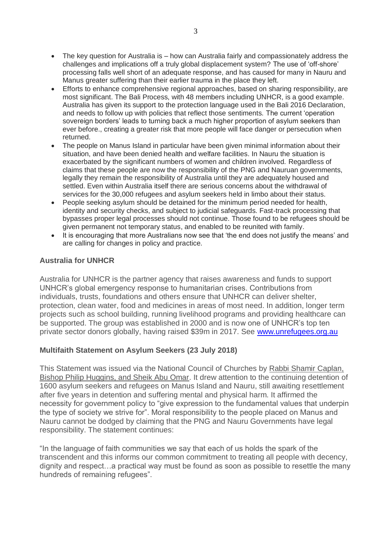- The key question for Australia is how can Australia fairly and compassionately address the challenges and implications off a truly global displacement system? The use of 'off-shore' processing falls well short of an adequate response, and has caused for many in Nauru and Manus greater suffering than their earlier trauma in the place they left.
- Efforts to enhance comprehensive regional approaches, based on sharing responsibility, are most significant. The Bali Process, with 48 members including UNHCR, is a good example. Australia has given its support to the protection language used in the Bali 2016 Declaration, and needs to follow up with policies that reflect those sentiments. The current 'operation sovereign borders' leads to turning back a much higher proportion of asylum seekers than ever before., creating a greater risk that more people will face danger or persecution when returned.
- The people on Manus Island in particular have been given minimal information about their situation, and have been denied health and welfare facilities. In Nauru the situation is exacerbated by the significant numbers of women and children involved. Regardless of claims that these people are now the responsibility of the PNG and Nauruan governments, legally they remain the responsibility of Australia until they are adequately housed and settled. Even within Australia itself there are serious concerns about the withdrawal of services for the 30,000 refugees and asylum seekers held in limbo about their status.
- People seeking asylum should be detained for the minimum period needed for health, identity and security checks, and subject to judicial safeguards. Fast-track processing that bypasses proper legal processes should not continue. Those found to be refugees should be given permanent not temporary status, and enabled to be reunited with family.
- It is encouraging that more Australians now see that 'the end does not justify the means' and are calling for changes in policy and practice.

### **Australia for UNHCR**

Australia for UNHCR is the partner agency that raises awareness and funds to support UNHCR's global emergency response to humanitarian crises. Contributions from individuals, trusts, foundations and others ensure that UNHCR can deliver shelter, protection, clean water, food and medicines in areas of most need. In addition, longer term projects such as school building, running livelihood programs and providing healthcare can be supported. The group was established in 2000 and is now one of UNHCR's top ten private sector donors globally, having raised \$39m in 2017. See [www.unrefugees.org.au](http://www.unrefugees.org.au/)

## **Multifaith Statement on Asylum Seekers (23 July 2018)**

This Statement was issued via the National Council of Churches by Rabbi Shamir Caplan, Bishop Philip Huggins, and Sheik Abu Omar. It drew attention to the continuing detention of 1600 asylum seekers and refugees on Manus Island and Nauru, still awaiting resettlement after five years in detention and suffering mental and physical harm. It affirmed the necessity for government policy to "give expression to the fundamental values that underpin the type of society we strive for". Moral responsibility to the people placed on Manus and Nauru cannot be dodged by claiming that the PNG and Nauru Governments have legal responsibility. The statement continues:

"In the language of faith communities we say that each of us holds the spark of the transcendent and this informs our common commitment to treating all people with decency, dignity and respect…a practical way must be found as soon as possible to resettle the many hundreds of remaining refugees".